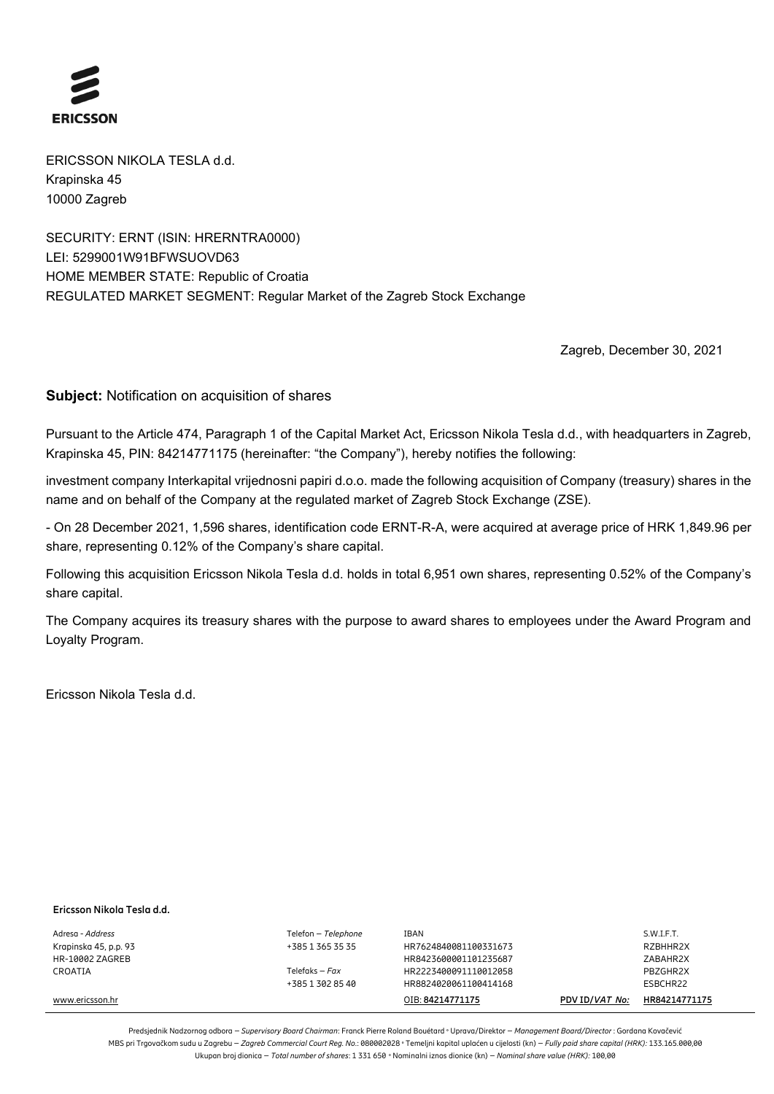

ERICSSON NIKOLA TESLA d.d. Krapinska 45 10000 Zagreb

SECURITY: ERNT (ISIN: HRERNTRA0000) LEI: 5299001W91BFWSUOVD63 HOME MEMBER STATE: Republic of Croatia REGULATED MARKET SEGMENT: Regular Market of the Zagreb Stock Exchange

Zagreb, December 30, 2021

**Subject:** Notification on acquisition of shares

Pursuant to the Article 474, Paragraph 1 of the Capital Market Act, Ericsson Nikola Tesla d.d., with headquarters in Zagreb, Krapinska 45, PIN: 84214771175 (hereinafter: "the Company"), hereby notifies the following:

investment company Interkapital vrijednosni papiri d.o.o. made the following acquisition of Company (treasury) shares in the name and on behalf of the Company at the regulated market of Zagreb Stock Exchange (ZSE).

- On 28 December 2021, 1,596 shares, identification code ERNT-R-A, were acquired at average price of HRK 1,849.96 per share, representing 0.12% of the Company's share capital.

Following this acquisition Ericsson Nikola Tesla d.d. holds in total 6,951 own shares, representing 0.52% of the Company's share capital.

The Company acquires its treasury shares with the purpose to award shares to employees under the Award Program and Loyalty Program.

Ericsson Nikola Tesla d.d.

### **Ericsson Nikola Tesla d.d.**

Adresa - *Address* Telefon – *Telephone* IBAN S.W.I.F.T. Krapinska 45, p.p. 93 +385 1 365 35 35 HR7624840081100331673 RZBHHR2X HR-10002 ZAGREB HR8423600001101235687 ZABAHR2X CROATIA Telefaks – *Fax* HR2223400091110012058 PBZGHR2X +385 1 302 85 40 HR8824020061100414168 ESBCHR22 www.ericsson.hr OIB: **84214771175 PDV ID/***VAT No:* **HR84214771175**

Predsjednik Nadzornog odbora – *Supervisory Board Chairman*: Franck Pierre Roland Bouétard **°** Uprava/Direktor – *Management Board/Director* : Gordana Kovačević MBS pri Trgovačkom sudu u Zagrebu – *Zagreb Commercial Court Reg. No*.: 080002028 **°** Temeljni kapital uplaćen u cijelosti (kn) – *Fully paid share capital (HRK):* 133.165.000,00 Ukupan broj dionica – *Total number of shares*: 1 331 650 **°** Nominalni iznos dionice (kn) – *Nominal share value (HRK):* 100,00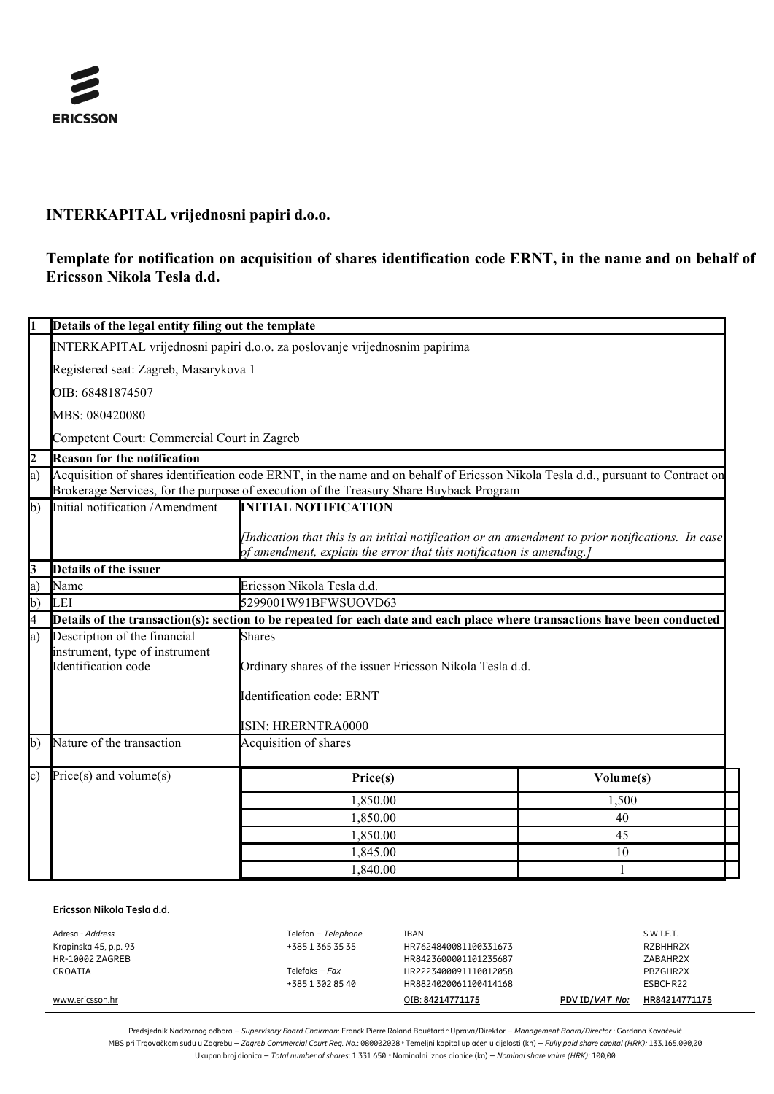

# **INTERKAPITAL vrijednosni papiri d.o.o.**

## **Template for notification on acquisition of shares identification code ERNT, in the name and on behalf of Ericsson Nikola Tesla d.d.**

|                                       | Details of the legal entity filing out the template                                                                                                                                                                        |                                                                                                                                                                         |              |  |  |  |
|---------------------------------------|----------------------------------------------------------------------------------------------------------------------------------------------------------------------------------------------------------------------------|-------------------------------------------------------------------------------------------------------------------------------------------------------------------------|--------------|--|--|--|
|                                       | INTERKAPITAL vrijednosni papiri d.o.o. za poslovanje vrijednosnim papirima                                                                                                                                                 |                                                                                                                                                                         |              |  |  |  |
| Registered seat: Zagreb, Masarykova 1 |                                                                                                                                                                                                                            |                                                                                                                                                                         |              |  |  |  |
| OIB: 68481874507                      |                                                                                                                                                                                                                            |                                                                                                                                                                         |              |  |  |  |
| MBS: 080420080                        |                                                                                                                                                                                                                            |                                                                                                                                                                         |              |  |  |  |
|                                       | Competent Court: Commercial Court in Zagreb                                                                                                                                                                                |                                                                                                                                                                         |              |  |  |  |
| $\overline{c}$                        | <b>Reason for the notification</b>                                                                                                                                                                                         |                                                                                                                                                                         |              |  |  |  |
| a)                                    | Acquisition of shares identification code ERNT, in the name and on behalf of Ericsson Nikola Tesla d.d., pursuant to Contract on<br>Brokerage Services, for the purpose of execution of the Treasury Share Buyback Program |                                                                                                                                                                         |              |  |  |  |
| $\mathbf{b}$                          | Initial notification /Amendment                                                                                                                                                                                            | <b>INITIAL NOTIFICATION</b>                                                                                                                                             |              |  |  |  |
|                                       |                                                                                                                                                                                                                            | Indication that this is an initial notification or an amendment to prior notifications. In case<br>of amendment, explain the error that this notification is amending.] |              |  |  |  |
| 3                                     | Details of the issuer                                                                                                                                                                                                      |                                                                                                                                                                         |              |  |  |  |
| a)                                    | Name                                                                                                                                                                                                                       | Ericsson Nikola Tesla d.d.                                                                                                                                              |              |  |  |  |
| $\mathbf{b}$                          | LEI                                                                                                                                                                                                                        | 5299001W91BFWSUOVD63                                                                                                                                                    |              |  |  |  |
| 4                                     | Details of the transaction(s): section to be repeated for each date and each place where transactions have been conducted                                                                                                  |                                                                                                                                                                         |              |  |  |  |
| a)                                    | Description of the financial                                                                                                                                                                                               | <b>Shares</b>                                                                                                                                                           |              |  |  |  |
|                                       | instrument, type of instrument                                                                                                                                                                                             |                                                                                                                                                                         |              |  |  |  |
|                                       | Identification code                                                                                                                                                                                                        | Ordinary shares of the issuer Ericsson Nikola Tesla d.d.                                                                                                                |              |  |  |  |
|                                       |                                                                                                                                                                                                                            | Identification code: ERNT                                                                                                                                               |              |  |  |  |
|                                       |                                                                                                                                                                                                                            | <b>ISIN: HRERNTRA0000</b>                                                                                                                                               |              |  |  |  |
| b)                                    | Nature of the transaction                                                                                                                                                                                                  | Acquisition of shares                                                                                                                                                   |              |  |  |  |
| c)                                    | $Price(s)$ and volume $(s)$                                                                                                                                                                                                | Price(s)                                                                                                                                                                | Volume(s)    |  |  |  |
|                                       |                                                                                                                                                                                                                            | 1,850.00                                                                                                                                                                | 1,500        |  |  |  |
|                                       |                                                                                                                                                                                                                            | 1,850.00                                                                                                                                                                | 40           |  |  |  |
|                                       |                                                                                                                                                                                                                            | 1,850.00                                                                                                                                                                | 45           |  |  |  |
|                                       |                                                                                                                                                                                                                            | 1,845.00                                                                                                                                                                | 10           |  |  |  |
|                                       |                                                                                                                                                                                                                            | 1,840.00                                                                                                                                                                | $\mathbf{1}$ |  |  |  |

### **Ericsson Nikola Tesla d.d.**

| Adresa - Address      | Telefon - Telephone | IBAN                  |                | S.W.I.F.T.    |
|-----------------------|---------------------|-----------------------|----------------|---------------|
| Krapinska 45, p.p. 93 | +385 1 365 35 35    | HR7624840081100331673 |                | RZBHHR2X      |
| HR-10002 ZAGREB       |                     | HR8423600001101235687 |                | ZABAHR2X      |
| CROATIA               | Telefaks – $Fax$    | HR2223400091110012058 |                | PBZGHR2X      |
|                       | +385 1 302 85 40    | HR8824020061100414168 |                | ESBCHR22      |
| www.ericsson.hr       |                     | OIB: 84214771175      | PDV ID/VAT No: | HR84214771175 |

Predsjednik Nadzornog odbora – *Supervisory Board Chairman*: Franck Pierre Roland Bouétard **°** Uprava/Direktor – *Management Board/Director* : Gordana Kovačević MBS pri Trgovačkom sudu u Zagrebu – *Zagreb Commercial Court Reg. No*.: 080002028 **°** Temeljni kapital uplaćen u cijelosti (kn) – *Fully paid share capital (HRK):* 133.165.000,00 Ukupan broj dionica – *Total number of shares*: 1 331 650 **°** Nominalni iznos dionice (kn) – *Nominal share value (HRK):* 100,00